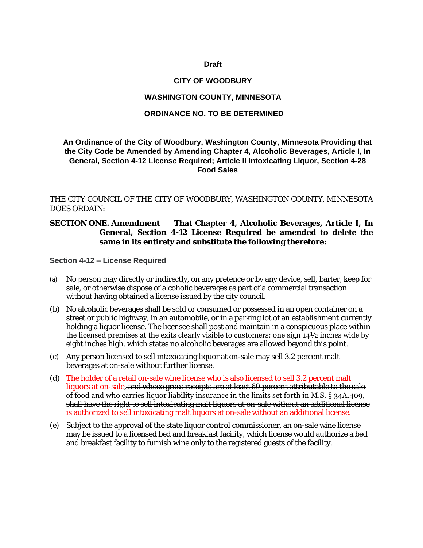#### **Draft**

#### **CITY OF WOODBURY**

### **WASHINGTON COUNTY, MINNESOTA**

#### **ORDINANCE NO. TO BE DETERMINED**

## **An Ordinance of the City of Woodbury, Washington County, Minnesota Providing that the City Code be Amended by Amending Chapter 4, Alcoholic Beverages, Article I, In General, Section 4-12 License Required; Article II Intoxicating Liquor, Section 4-28 Food Sales**

THE CITY COUNCIL OF THE CITY OF WOODBURY, WASHINGTON COUNTY, MINNESOTA DOES ORDAIN:

## **SECTION ONE. Amendment That Chapter 4, Alcoholic Beverages, Article I, In General, Section 4-12 License Required be amended to delete the same in its entirety and substitute the following therefore:**

#### **Section 4-12 – License Required**

- (a) No person may directly or indirectly, on any pretence or by any device, sell, barter, keep for sale, or otherwise dispose of alcoholic beverages as part of a commercial transaction without having obtained a license issued by the city council.
- (b) No alcoholic beverages shall be sold or consumed or possessed in an open container on a street or public highway, in an automobile, or in a parking lot of an establishment currently holding a liquor license. The licensee shall post and maintain in a conspicuous place within the licensed premises at the exits clearly visible to customers: one sign 14½ inches wide by eight inches high, which states no alcoholic beverages are allowed beyond this point.
- (c) Any person licensed to sell intoxicating liquor at on-sale may sell 3.2 percent malt beverages at on-sale without further license.
- (d) The holder of a retail on-sale wine license who is also licensed to sell 3.2 percent malt liquors at on-sale, and whose gross receipts are at least 60 percent attributable to the saleof food and who carries liquor liability insurance in the limits set forth in M.S. § 34A.409, shall have the right to sell intoxicating malt liquors at on-sale without an additional license is authorized to sell intoxicating malt liquors at on-sale without an additional license.
- (e) Subject to the approval of the state liquor control commissioner, an on-sale wine license may be issued to a licensed bed and breakfast facility, which license would authorize a bed and breakfast facility to furnish wine only to the registered guests of the facility.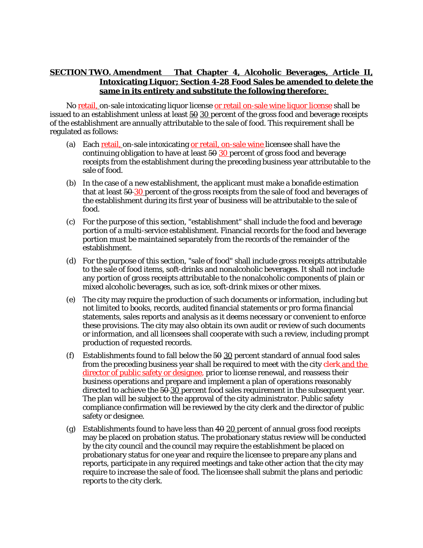# **SECTION TWO. Amendment That Chapter 4, Alcoholic Beverages, Article II, Intoxicating Liquor; Section 4-28 Food Sales be amended to delete the same in its entirety and substitute the following therefore:**

No retail, on-sale intoxicating liquor license or retail on-sale wine liquor license shall be issued to an establishment unless at least  $\frac{50}{20}$  percent of the gross food and beverage receipts of the establishment are annually attributable to the sale of food. This requirement shall be regulated as follows:

- (a) Each retail, on-sale intoxicating or retail, on-sale wine licensee shall have the continuing obligation to have at least  $50$  30 percent of gross food and beverage receipts from the establishment during the preceding business year attributable to the sale of food.
- (b) In the case of a new establishment, the applicant must make a bonafide estimation that at least 50 30 percent of the gross receipts from the sale of food and beverages of the establishment during its first year of business will be attributable to the sale of food.
- (c) For the purpose of this section, "establishment" shall include the food and beverage portion of a multi-service establishment. Financial records for the food and beverage portion must be maintained separately from the records of the remainder of the establishment.
- (d) For the purpose of this section, "sale of food" shall include gross receipts attributable to the sale of food items, soft-drinks and nonalcoholic beverages. It shall not include any portion of gross receipts attributable to the nonalcoholic components of plain or mixed alcoholic beverages, such as ice, soft-drink mixes or other mixes.
- (e) The city may require the production of such documents or information, including but not limited to books, records, audited financial statements or pro forma financial statements, sales reports and analysis as it deems necessary or convenient to enforce these provisions. The city may also obtain its own audit or review of such documents or information, and all licensees shall cooperate with such a review, including prompt production of requested records.
- (f) Establishments found to fall below the  $50-30$  percent standard of annual food sales from the preceding business year shall be required to meet with the city clerk and the director of public safety or designee, prior to license renewal, and reassess their business operations and prepare and implement a plan of operations reasonably directed to achieve the 50 30 percent food sales requirement in the subsequent year. The plan will be subject to the approval of the city administrator. Public safety compliance confirmation will be reviewed by the city clerk and the director of public safety or designee.
- (g) Establishments found to have less than  $40 \underline{20}$  percent of annual gross food receipts may be placed on probation status. The probationary status review will be conducted by the city council and the council may require the establishment be placed on probationary status for one year and require the licensee to prepare any plans and reports, participate in any required meetings and take other action that the city may require to increase the sale of food. The licensee shall submit the plans and periodic reports to the city clerk.